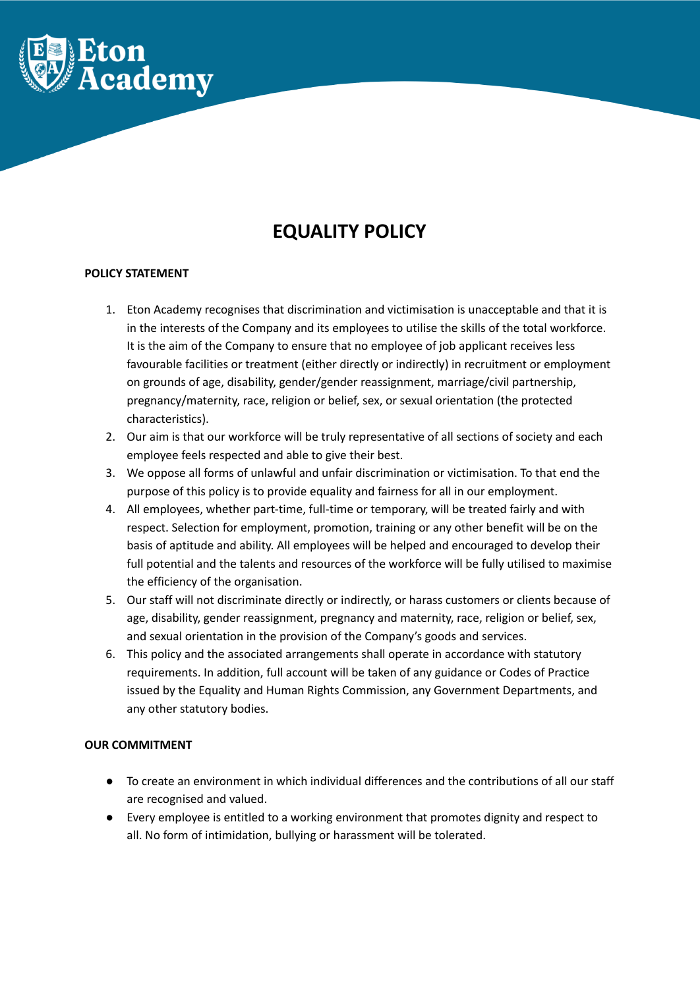

# **EQUALITY POLICY**

## **POLICY STATEMENT**

- 1. Eton Academy recognises that discrimination and victimisation is unacceptable and that it is in the interests of the Company and its employees to utilise the skills of the total workforce. It is the aim of the Company to ensure that no employee of job applicant receives less favourable facilities or treatment (either directly or indirectly) in recruitment or employment on grounds of age, disability, gender/gender reassignment, marriage/civil partnership, pregnancy/maternity, race, religion or belief, sex, or sexual orientation (the protected characteristics).
- 2. Our aim is that our workforce will be truly representative of all sections of society and each employee feels respected and able to give their best.
- 3. We oppose all forms of unlawful and unfair discrimination or victimisation. To that end the purpose of this policy is to provide equality and fairness for all in our employment.
- 4. All employees, whether part-time, full-time or temporary, will be treated fairly and with respect. Selection for employment, promotion, training or any other benefit will be on the basis of aptitude and ability. All employees will be helped and encouraged to develop their full potential and the talents and resources of the workforce will be fully utilised to maximise the efficiency of the organisation.
- 5. Our staff will not discriminate directly or indirectly, or harass customers or clients because of age, disability, gender reassignment, pregnancy and maternity, race, religion or belief, sex, and sexual orientation in the provision of the Company's goods and services.
- 6. This policy and the associated arrangements shall operate in accordance with statutory requirements. In addition, full account will be taken of any guidance or Codes of Practice issued by the Equality and Human Rights Commission, any Government Departments, and any other statutory bodies.

## **OUR COMMITMENT**

- To create an environment in which individual differences and the contributions of all our staff are recognised and valued.
- Every employee is entitled to a working environment that promotes dignity and respect to all. No form of intimidation, bullying or harassment will be tolerated.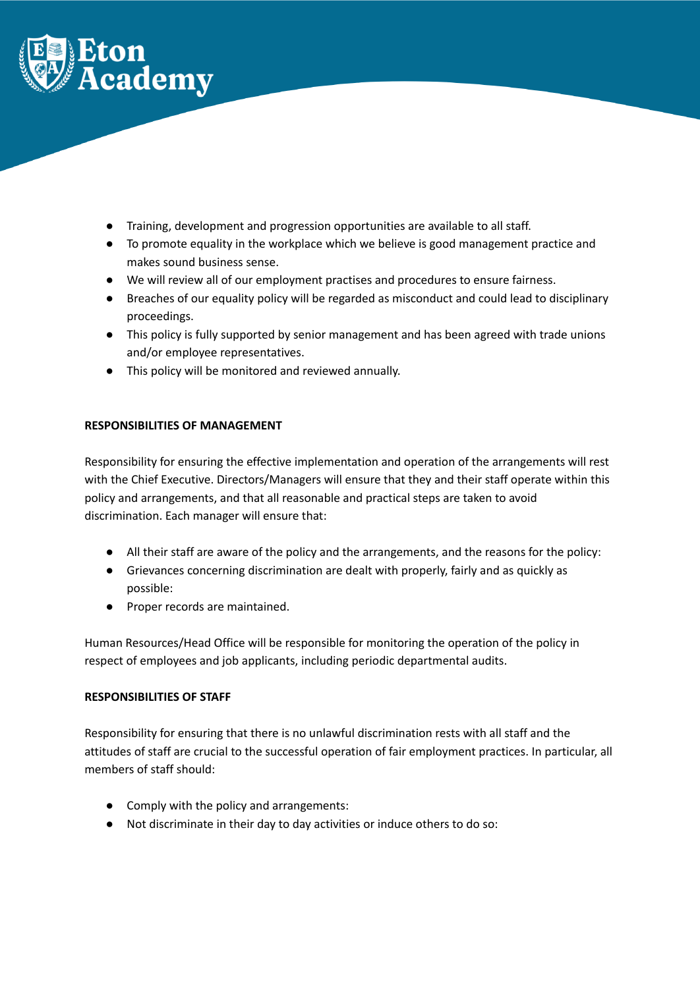

- Training, development and progression opportunities are available to all staff.
- To promote equality in the workplace which we believe is good management practice and makes sound business sense.
- We will review all of our employment practises and procedures to ensure fairness.
- Breaches of our equality policy will be regarded as misconduct and could lead to disciplinary proceedings.
- This policy is fully supported by senior management and has been agreed with trade unions and/or employee representatives.
- This policy will be monitored and reviewed annually.

# **RESPONSIBILITIES OF MANAGEMENT**

Responsibility for ensuring the effective implementation and operation of the arrangements will rest with the Chief Executive. Directors/Managers will ensure that they and their staff operate within this policy and arrangements, and that all reasonable and practical steps are taken to avoid discrimination. Each manager will ensure that:

- All their staff are aware of the policy and the arrangements, and the reasons for the policy:
- Grievances concerning discrimination are dealt with properly, fairly and as quickly as possible:
- Proper records are maintained.

Human Resources/Head Office will be responsible for monitoring the operation of the policy in respect of employees and job applicants, including periodic departmental audits.

# **RESPONSIBILITIES OF STAFF**

Responsibility for ensuring that there is no unlawful discrimination rests with all staff and the attitudes of staff are crucial to the successful operation of fair employment practices. In particular, all members of staff should:

- Comply with the policy and arrangements:
- Not discriminate in their day to day activities or induce others to do so: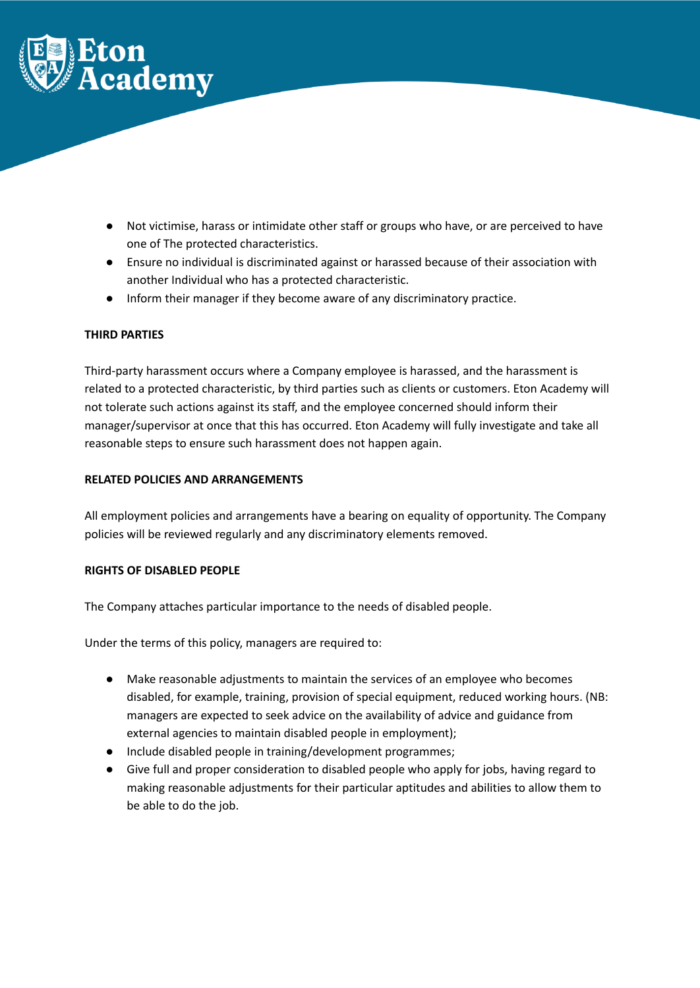

- Not victimise, harass or intimidate other staff or groups who have, or are perceived to have one of The protected characteristics.
- Ensure no individual is discriminated against or harassed because of their association with another Individual who has a protected characteristic.
- Inform their manager if they become aware of any discriminatory practice.

## **THIRD PARTIES**

Third-party harassment occurs where a Company employee is harassed, and the harassment is related to a protected characteristic, by third parties such as clients or customers. Eton Academy will not tolerate such actions against its staff, and the employee concerned should inform their manager/supervisor at once that this has occurred. Eton Academy will fully investigate and take all reasonable steps to ensure such harassment does not happen again.

## **RELATED POLICIES AND ARRANGEMENTS**

All employment policies and arrangements have a bearing on equality of opportunity. The Company policies will be reviewed regularly and any discriminatory elements removed.

# **RIGHTS OF DISABLED PEOPLE**

The Company attaches particular importance to the needs of disabled people.

Under the terms of this policy, managers are required to:

- Make reasonable adjustments to maintain the services of an employee who becomes disabled, for example, training, provision of special equipment, reduced working hours. (NB: managers are expected to seek advice on the availability of advice and guidance from external agencies to maintain disabled people in employment);
- Include disabled people in training/development programmes;
- Give full and proper consideration to disabled people who apply for jobs, having regard to making reasonable adjustments for their particular aptitudes and abilities to allow them to be able to do the job.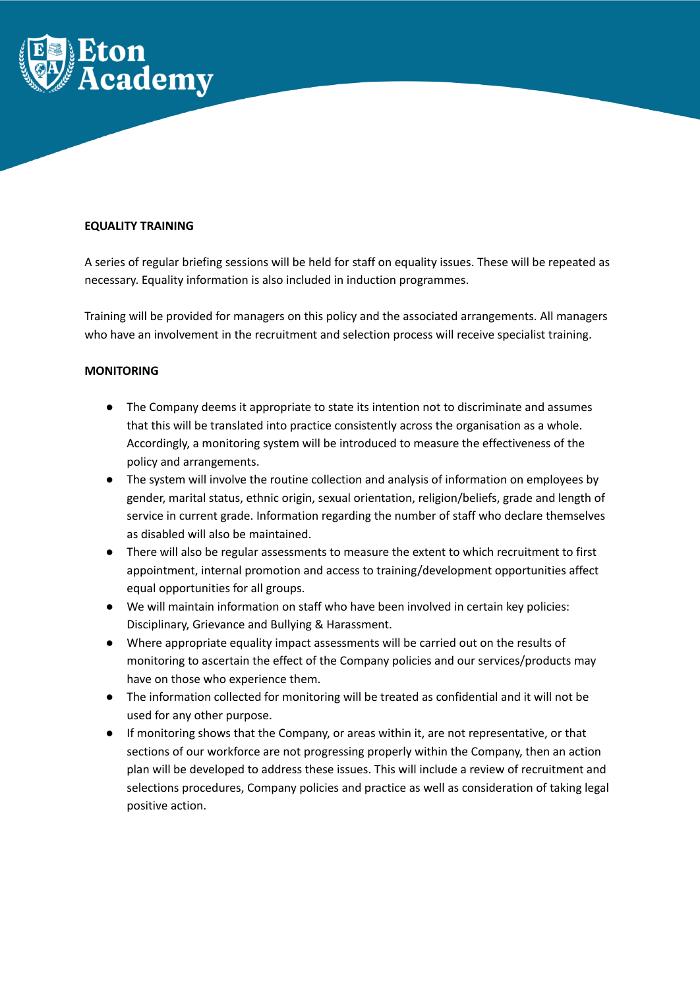

### **EQUALITY TRAINING**

A series of regular briefing sessions will be held for staff on equality issues. These will be repeated as necessary. Equality information is also included in induction programmes.

Training will be provided for managers on this policy and the associated arrangements. All managers who have an involvement in the recruitment and selection process will receive specialist training.

#### **MONITORING**

- The Company deems it appropriate to state its intention not to discriminate and assumes that this will be translated into practice consistently across the organisation as a whole. Accordingly, a monitoring system will be introduced to measure the effectiveness of the policy and arrangements.
- The system will involve the routine collection and analysis of information on employees by gender, marital status, ethnic origin, sexual orientation, religion/beliefs, grade and length of service in current grade. Information regarding the number of staff who declare themselves as disabled will also be maintained.
- There will also be regular assessments to measure the extent to which recruitment to first appointment, internal promotion and access to training/development opportunities affect equal opportunities for all groups.
- We will maintain information on staff who have been involved in certain key policies: Disciplinary, Grievance and Bullying & Harassment.
- Where appropriate equality impact assessments will be carried out on the results of monitoring to ascertain the effect of the Company policies and our services/products may have on those who experience them.
- The information collected for monitoring will be treated as confidential and it will not be used for any other purpose.
- If monitoring shows that the Company, or areas within it, are not representative, or that sections of our workforce are not progressing properly within the Company, then an action plan will be developed to address these issues. This will include a review of recruitment and selections procedures, Company policies and practice as well as consideration of taking legal positive action.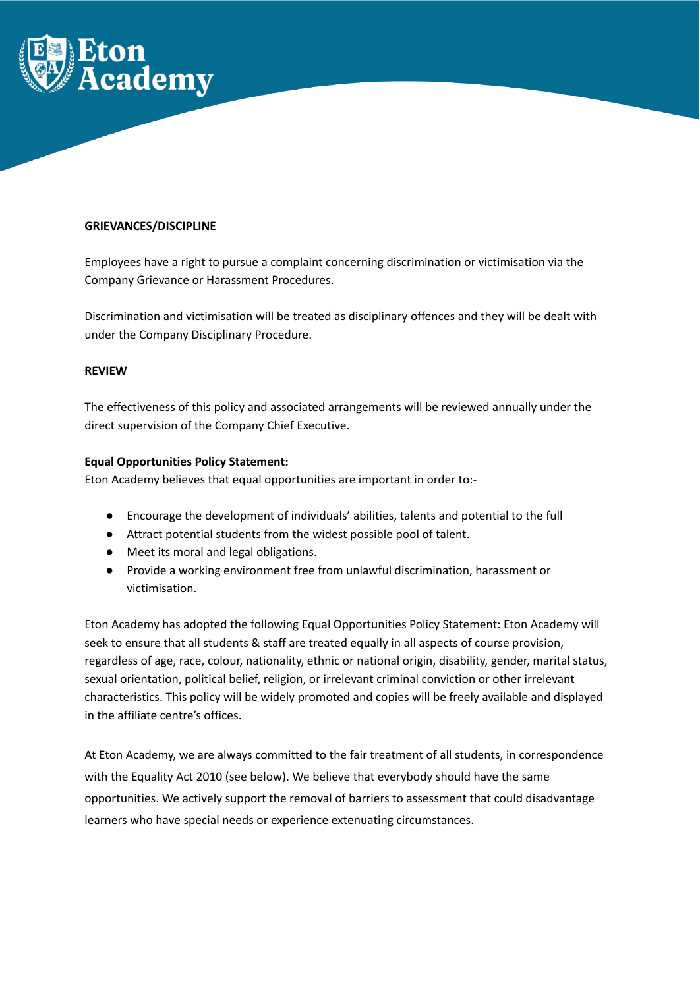

### **GRIEVANCES/DISCIPLINE**

Employees have a right to pursue a complaint concerning discrimination or victimisation via the Company Grievance or Harassment Procedures.

Discrimination and victimisation will be treated as disciplinary offences and they will be dealt with under the Company Disciplinary Procedure.

#### **REVIEW**

The effectiveness of this policy and associated arrangements will be reviewed annually under the direct supervision of the Company Chief Executive.

## **Equal Opportunities Policy Statement:**

Eton Academy believes that equal opportunities are important in order to:-

- Encourage the development of individuals' abilities, talents and potential to the full
- Attract potential students from the widest possible pool of talent.
- Meet its moral and legal obligations.
- Provide a working environment free from unlawful discrimination, harassment or victimisation.

Eton Academy has adopted the following Equal Opportunities Policy Statement: Eton Academy will seek to ensure that all students & staff are treated equally in all aspects of course provision, regardless of age, race, colour, nationality, ethnic or national origin, disability, gender, marital status, sexual orientation, political belief, religion, or irrelevant criminal conviction or other irrelevant characteristics. This policy will be widely promoted and copies will be freely available and displayed in the affiliate centre's offices.

At Eton Academy, we are always committed to the fair treatment of all students, in correspondence with the Equality Act 2010 (see below). We believe that everybody should have the same opportunities. We actively support the removal of barriers to assessment that could disadvantage learners who have special needs or experience extenuating circumstances.